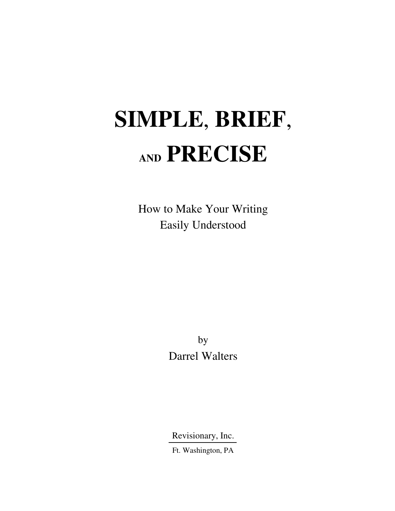## **SIMPLE**, **BRIEF**, **AND PRECISE**

How to Make Your Writing Easily Understood

> by Darrel Walters

Revisionary, Inc.

Ft. Washington, PA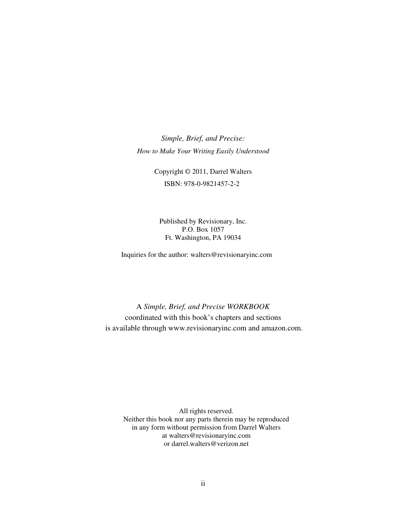*Simple, Brief, and Precise: How to Make Your Writing Easily Understood* 

> Copyright © 2011, Darrel Walters ISBN: 978-0-9821457-2-2

Published by Revisionary, Inc. P.O. Box 1057 Ft. Washington, PA 19034

Inquiries for the author: walters@revisionaryinc.com

A *Simple, Brief, and Precise WORKBOOK*  coordinated with this book's chapters and sections is available through www.revisionaryinc.com and amazon.com.

All rights reserved. Neither this book nor any parts therein may be reproduced in any form without permission from Darrel Walters at walters@revisionaryinc.com or darrel.walters@verizon.net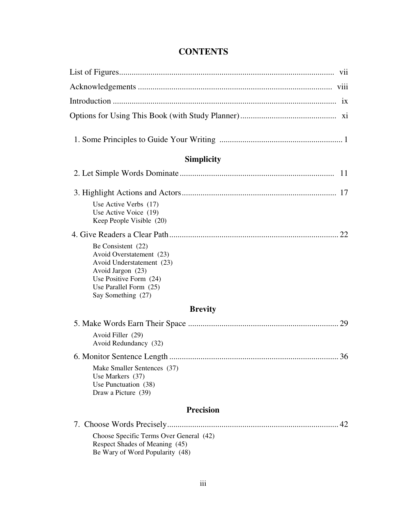## **CONTENTS**

| <b>Simplicity</b>                                                                                                                                                          |
|----------------------------------------------------------------------------------------------------------------------------------------------------------------------------|
| 11                                                                                                                                                                         |
|                                                                                                                                                                            |
| Use Active Verbs (17)<br>Use Active Voice (19)<br>Keep People Visible (20)                                                                                                 |
|                                                                                                                                                                            |
| Be Consistent (22)<br>Avoid Overstatement (23)<br>Avoid Understatement (23)<br>Avoid Jargon (23)<br>Use Positive Form (24)<br>Use Parallel Form (25)<br>Say Something (27) |
| <b>Brevity</b>                                                                                                                                                             |
|                                                                                                                                                                            |
| Avoid Filler (29)<br>Avoid Redundancy (32)                                                                                                                                 |
| 6. Monitor Sentence Length<br>36                                                                                                                                           |
| Make Smaller Sentences (37)<br>Use Markers (37)<br>Use Punctuation (38)<br>Draw a Picture (39)                                                                             |
| <b>Precision</b>                                                                                                                                                           |
| 42                                                                                                                                                                         |
| Choose Specific Terms Over General (42)<br>Respect Shades of Meaning (45)<br>Be Wary of Word Popularity (48)                                                               |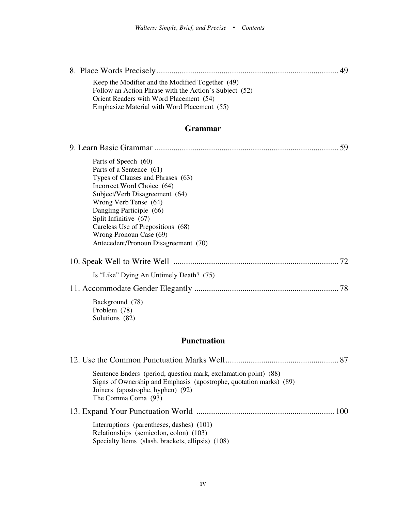| 49                                                                                                                                                                                                |
|---------------------------------------------------------------------------------------------------------------------------------------------------------------------------------------------------|
| Keep the Modifier and the Modified Together (49)<br>Follow an Action Phrase with the Action's Subject (52)                                                                                        |
| Orient Readers with Word Placement (54)                                                                                                                                                           |
| Emphasize Material with Word Placement (55)                                                                                                                                                       |
|                                                                                                                                                                                                   |
| <b>Grammar</b>                                                                                                                                                                                    |
| 59                                                                                                                                                                                                |
| Parts of Speech (60)                                                                                                                                                                              |
| Parts of a Sentence (61)                                                                                                                                                                          |
| Types of Clauses and Phrases (63)                                                                                                                                                                 |
| Incorrect Word Choice (64)<br>Subject/Verb Disagreement (64)                                                                                                                                      |
| Wrong Verb Tense (64)                                                                                                                                                                             |
| Dangling Participle (66)                                                                                                                                                                          |
| Split Infinitive (67)<br>Careless Use of Prepositions (68)                                                                                                                                        |
| Wrong Pronoun Case (69)                                                                                                                                                                           |
| Antecedent/Pronoun Disagreement (70)                                                                                                                                                              |
|                                                                                                                                                                                                   |
| Is "Like" Dying An Untimely Death? (75)                                                                                                                                                           |
|                                                                                                                                                                                                   |
| Background (78)<br>Problem (78)<br>Solutions (82)                                                                                                                                                 |
| <b>Punctuation</b>                                                                                                                                                                                |
|                                                                                                                                                                                                   |
| 87                                                                                                                                                                                                |
| Sentence Enders (period, question mark, exclamation point) (88)<br>Signs of Ownership and Emphasis (apostrophe, quotation marks) (89)<br>Joiners (apostrophe, hyphen) (92)<br>The Comma Coma (93) |
|                                                                                                                                                                                                   |

13. Expand Your Punctuation World .................................................................. 100

 Interruptions (parentheses, dashes) (101) Relationships (semicolon, colon) (103) Specialty Items (slash, brackets, ellipsis) (108)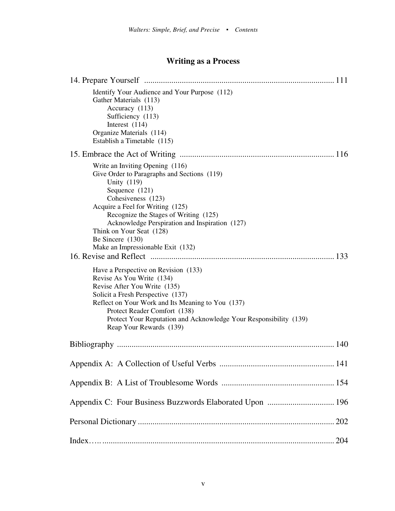## **Writing as a Process**

| Identify Your Audience and Your Purpose (112)<br>Gather Materials (113)<br>Accuracy (113)<br>Sufficiency (113)<br>Interest $(114)$<br>Organize Materials (114)<br>Establish a Timetable (115)                                                                                                                                                                                                                                                                                                                                                                                                                                                                                              |
|--------------------------------------------------------------------------------------------------------------------------------------------------------------------------------------------------------------------------------------------------------------------------------------------------------------------------------------------------------------------------------------------------------------------------------------------------------------------------------------------------------------------------------------------------------------------------------------------------------------------------------------------------------------------------------------------|
|                                                                                                                                                                                                                                                                                                                                                                                                                                                                                                                                                                                                                                                                                            |
| Write an Inviting Opening (116)<br>Give Order to Paragraphs and Sections (119)<br>Unity (119)<br>Sequence (121)<br>Cohesiveness (123)<br>Acquire a Feel for Writing (125)<br>Recognize the Stages of Writing (125)<br>Acknowledge Perspiration and Inspiration (127)<br>Think on Your Seat (128)<br>Be Sincere $(130)$<br>Make an Impressionable Exit (132)<br>Have a Perspective on Revision (133)<br>Revise As You Write (134)<br>Revise After You Write (135)<br>Solicit a Fresh Perspective (137)<br>Reflect on Your Work and Its Meaning to You (137)<br>Protect Reader Comfort (138)<br>Protect Your Reputation and Acknowledge Your Responsibility (139)<br>Reap Your Rewards (139) |
|                                                                                                                                                                                                                                                                                                                                                                                                                                                                                                                                                                                                                                                                                            |
|                                                                                                                                                                                                                                                                                                                                                                                                                                                                                                                                                                                                                                                                                            |
| 141                                                                                                                                                                                                                                                                                                                                                                                                                                                                                                                                                                                                                                                                                        |
|                                                                                                                                                                                                                                                                                                                                                                                                                                                                                                                                                                                                                                                                                            |
| Appendix C: Four Business Buzzwords Elaborated Upon  196                                                                                                                                                                                                                                                                                                                                                                                                                                                                                                                                                                                                                                   |
|                                                                                                                                                                                                                                                                                                                                                                                                                                                                                                                                                                                                                                                                                            |
|                                                                                                                                                                                                                                                                                                                                                                                                                                                                                                                                                                                                                                                                                            |